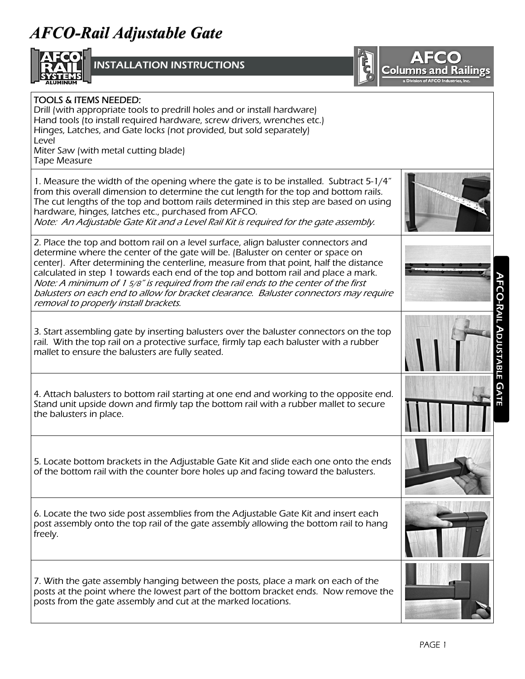## **AFCO-Rail Adjustable Gate Rail Adjustable Gate**



**NSTALLATION INSTRUCTIONS** 



## AFCO-RAIL ADJUSTABLE GATE 1. Measure the width of the opening where the gate is to be installed. Subtract 5-1/4" from this overall dimension to determine the cut length for the top and bottom rails. The cut lengths of the top and bottom rails determined in this step are based on using hardware, hinges, latches etc., purchased from AFCO. Note: An Adjustable Gate Kit and a Level Rail Kit is required for the gate assembly. 2. Place the top and bottom rail on a level surface, align baluster connectors and determine where the center of the gate will be. (Baluster on center or space on center). After determining the centerline, measure from that point, half the distance calculated in step 1 towards each end of the top and bottom rail and place a mark. Note: A minimum of 1 5/8" is required from the rail ends to the center of the first balusters on each end to allow for bracket clearance. Baluster connectors may require removal to properly install brackets. 3. Start assembling gate by inserting balusters over the baluster connectors on the top rail. With the top rail on a protective surface, firmly tap each baluster with a rubber mallet to ensure the balusters are fully seated. TOOLS & ITEMS NEEDED: Drill (with appropriate tools to predrill holes and or install hardware) Hand tools (to install required hardware, screw drivers, wrenches etc.) Hinges, Latches, and Gate locks (not provided, but sold separately) Level Miter Saw (with metal cutting blade) Tape Measure 4. Attach balusters to bottom rail starting at one end and working to the opposite end. Stand unit upside down and firmly tap the bottom rail with a rubber mallet to secure the balusters in place. 5. Locate bottom brackets in the Adjustable Gate Kit and slide each one onto the ends of the bottom rail with the counter bore holes up and facing toward the balusters. 6. Locate the two side post assemblies from the Adjustable Gate Kit and insert each post assembly onto the top rail of the gate assembly allowing the bottom rail to hang freely. 7. With the gate assembly hanging between the posts, place a mark on each of the posts at the point where the lowest part of the bottom bracket ends. Now remove the posts from the gate assembly and cut at the marked locations.